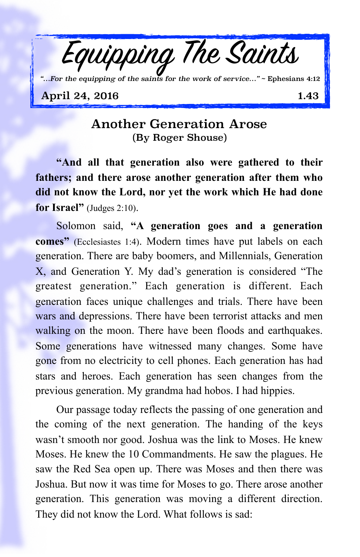

## April 24, 2016 1.43

## Another Generation Arose (By Roger Shouse)

**"And all that generation also were gathered to their fathers; and there arose another generation after them who did not know the Lord, nor yet the work which He had done for Israel"** (Judges 2:10).

Solomon said, **"A generation goes and a generation comes"** (Ecclesiastes 1:4). Modern times have put labels on each generation. There are baby boomers, and Millennials, Generation X, and Generation Y. My dad's generation is considered "The greatest generation." Each generation is different. Each generation faces unique challenges and trials. There have been wars and depressions. There have been terrorist attacks and men walking on the moon. There have been floods and earthquakes. Some generations have witnessed many changes. Some have gone from no electricity to cell phones. Each generation has had stars and heroes. Each generation has seen changes from the previous generation. My grandma had hobos. I had hippies.

Our passage today reflects the passing of one generation and the coming of the next generation. The handing of the keys wasn't smooth nor good. Joshua was the link to Moses. He knew Moses. He knew the 10 Commandments. He saw the plagues. He saw the Red Sea open up. There was Moses and then there was Joshua. But now it was time for Moses to go. There arose another generation. This generation was moving a different direction. They did not know the Lord. What follows is sad: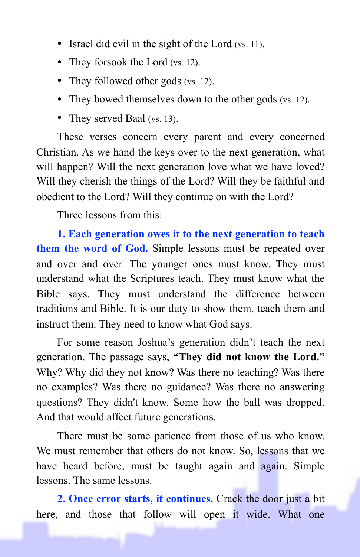- Israel did evil in the sight of the Lord (vs. 11).
- They forsook the Lord (vs. 12).
- They followed other gods (vs. 12).
- They bowed themselves down to the other gods (vs. 12).
- They served Baal (vs. 13).

These verses concern every parent and every concerned Christian. As we hand the keys over to the next generation, what will happen? Will the next generation love what we have loved? Will they cherish the things of the Lord? Will they be faithful and obedient to the Lord? Will they continue on with the Lord?

Three lessons from this:

**1. Each generation owes it to the next generation to teach them the word of God.** Simple lessons must be repeated over and over and over. The younger ones must know. They must understand what the Scriptures teach. They must know what the Bible says. They must understand the difference between traditions and Bible. It is our duty to show them, teach them and instruct them. They need to know what God says.

For some reason Joshua's generation didn't teach the next generation. The passage says, **"They did not know the Lord."** Why? Why did they not know? Was there no teaching? Was there no examples? Was there no guidance? Was there no answering questions? They didn't know. Some how the ball was dropped. And that would affect future generations.

There must be some patience from those of us who know. We must remember that others do not know. So, lessons that we have heard before, must be taught again and again. Simple lessons. The same lessons.

**2. Once error starts, it continues.** Crack the door just a bit here, and those that follow will open it wide. What one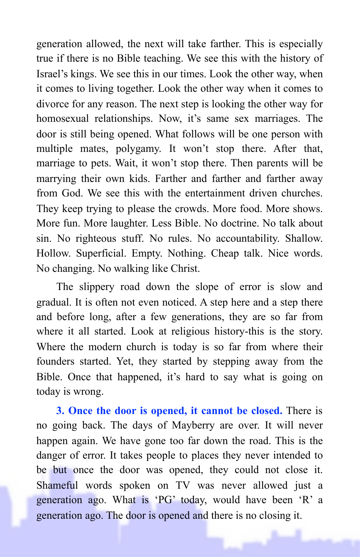generation allowed, the next will take farther. This is especially true if there is no Bible teaching. We see this with the history of Israel's kings. We see this in our times. Look the other way, when it comes to living together. Look the other way when it comes to divorce for any reason. The next step is looking the other way for homosexual relationships. Now, it's same sex marriages. The door is still being opened. What follows will be one person with multiple mates, polygamy. It won't stop there. After that, marriage to pets. Wait, it won't stop there. Then parents will be marrying their own kids. Farther and farther and farther away from God. We see this with the entertainment driven churches. They keep trying to please the crowds. More food. More shows. More fun. More laughter. Less Bible. No doctrine. No talk about sin. No righteous stuff. No rules. No accountability. Shallow. Hollow. Superficial. Empty. Nothing. Cheap talk. Nice words. No changing. No walking like Christ.

The slippery road down the slope of error is slow and gradual. It is often not even noticed. A step here and a step there and before long, after a few generations, they are so far from where it all started. Look at religious history-this is the story. Where the modern church is today is so far from where their founders started. Yet, they started by stepping away from the Bible. Once that happened, it's hard to say what is going on today is wrong.

**3. Once the door is opened, it cannot be closed.** There is no going back. The days of Mayberry are over. It will never happen again. We have gone too far down the road. This is the danger of error. It takes people to places they never intended to be but once the door was opened, they could not close it. Shameful words spoken on TV was never allowed just a generation ago. What is 'PG' today, would have been 'R' a generation ago. The door is opened and there is no closing it.